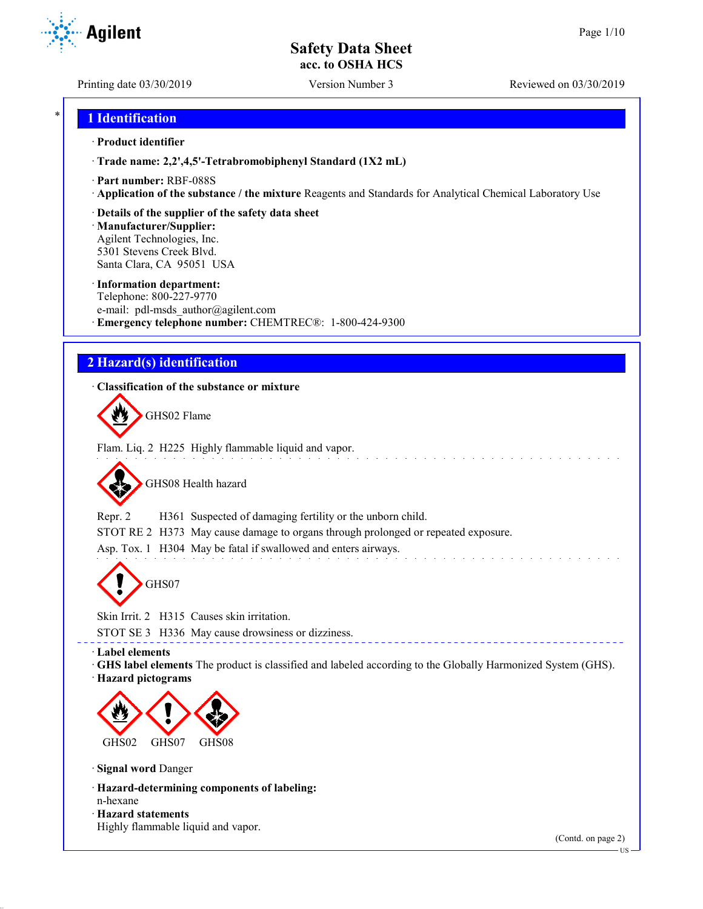Printing date 03/30/2019 Version Number 3 Reviewed on 03/30/2019

**Agilent** 

# \* **1 Identification**

## · **Product identifier**

· **Trade name: 2,2',4,5'-Tetrabromobiphenyl Standard (1X2 mL)**

- · **Part number:** RBF-088S
- · **Application of the substance / the mixture** Reagents and Standards for Analytical Chemical Laboratory Use
- · **Details of the supplier of the safety data sheet**

· **Manufacturer/Supplier:** Agilent Technologies, Inc. 5301 Stevens Creek Blvd. Santa Clara, CA 95051 USA

#### · **Information department:**

Telephone: 800-227-9770 e-mail: pdl-msds author@agilent.com · **Emergency telephone number:** CHEMTREC®: 1-800-424-9300

# **2 Hazard(s) identification**

## · **Classification of the substance or mixture**

GHS02 Flame

Flam. Liq. 2 H225 Highly flammable liquid and vapor.

GHS08 Health hazard

Repr. 2 H361 Suspected of damaging fertility or the unborn child.

STOT RE 2 H373 May cause damage to organs through prolonged or repeated exposure.

Asp. Tox. 1 H304 May be fatal if swallowed and enters airways.

GHS07

Skin Irrit. 2 H315 Causes skin irritation.

STOT SE 3 H336 May cause drowsiness or dizziness.

· **Label elements**

· **GHS label elements** The product is classified and labeled according to the Globally Harmonized System (GHS).

\_\_\_\_\_\_\_\_\_\_\_\_\_\_\_\_

· **Hazard pictograms**



· **Signal word** Danger

- · **Hazard-determining components of labeling:**
- n-hexane

· **Hazard statements** Highly flammable liquid and vapor.

(Contd. on page 2)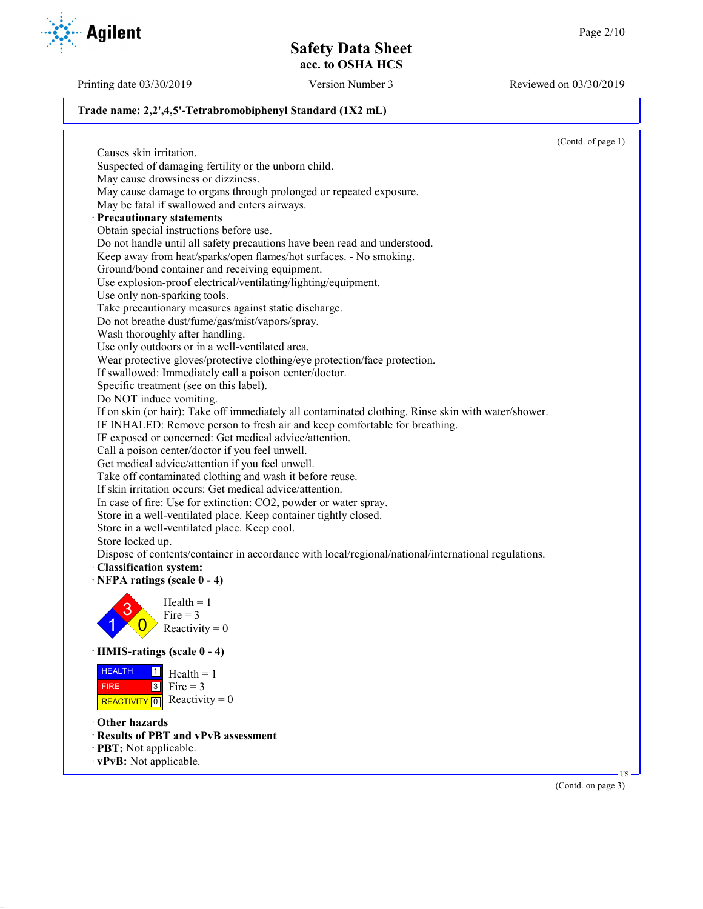Printing date 03/30/2019 Version Number 3 Reviewed on 03/30/2019

(Contd. on page 3)

## **Trade name: 2,2',4,5'-Tetrabromobiphenyl Standard (1X2 mL)**

(Contd. of page 1) Causes skin irritation. Suspected of damaging fertility or the unborn child. May cause drowsiness or dizziness. May cause damage to organs through prolonged or repeated exposure. May be fatal if swallowed and enters airways. · **Precautionary statements** Obtain special instructions before use. Do not handle until all safety precautions have been read and understood. Keep away from heat/sparks/open flames/hot surfaces. - No smoking. Ground/bond container and receiving equipment. Use explosion-proof electrical/ventilating/lighting/equipment. Use only non-sparking tools. Take precautionary measures against static discharge. Do not breathe dust/fume/gas/mist/vapors/spray. Wash thoroughly after handling. Use only outdoors or in a well-ventilated area. Wear protective gloves/protective clothing/eye protection/face protection. If swallowed: Immediately call a poison center/doctor. Specific treatment (see on this label). Do NOT induce vomiting. If on skin (or hair): Take off immediately all contaminated clothing. Rinse skin with water/shower. IF INHALED: Remove person to fresh air and keep comfortable for breathing. IF exposed or concerned: Get medical advice/attention. Call a poison center/doctor if you feel unwell. Get medical advice/attention if you feel unwell. Take off contaminated clothing and wash it before reuse. If skin irritation occurs: Get medical advice/attention. In case of fire: Use for extinction: CO2, powder or water spray. Store in a well-ventilated place. Keep container tightly closed. Store in a well-ventilated place. Keep cool. Store locked up. Dispose of contents/container in accordance with local/regional/national/international regulations. · **Classification system:** · **NFPA ratings (scale 0 - 4)** 1 3  $\overline{0}$  $Health = 1$ Fire  $= 3$ Reactivity  $= 0$ · **HMIS-ratings (scale 0 - 4)** HEALTH FIRE REACTIVITY  $\boxed{0}$  Reactivity = 0  $\frac{1}{\Box}$  Health = 1  $3$  Fire = 3 · **Other hazards** · **Results of PBT and vPvB assessment** · **PBT:** Not applicable. · **vPvB:** Not applicable. US

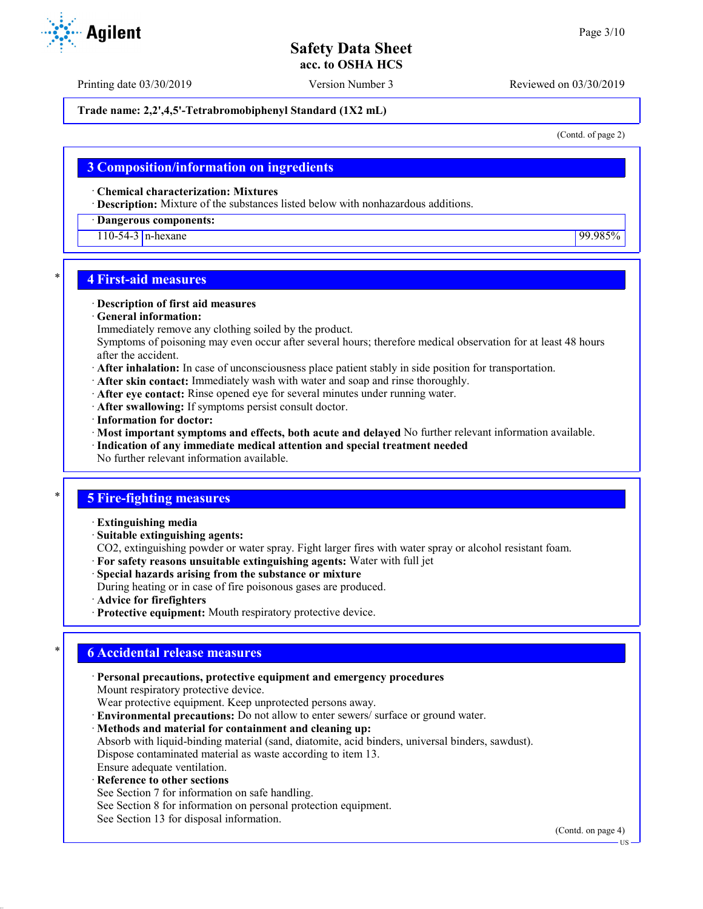Printing date 03/30/2019 Version Number 3 Reviewed on 03/30/2019

## **Trade name: 2,2',4,5'-Tetrabromobiphenyl Standard (1X2 mL)**

(Contd. of page 2)

## **3 Composition/information on ingredients**

· **Chemical characterization: Mixtures**

· **Description:** Mixture of the substances listed below with nonhazardous additions.

#### · **Dangerous components:**

110-54-3 n-hexane 99.985%

## \* **4 First-aid measures**

#### · **Description of first aid measures**

- · **General information:**
- Immediately remove any clothing soiled by the product.

Symptoms of poisoning may even occur after several hours; therefore medical observation for at least 48 hours after the accident.

- · **After inhalation:** In case of unconsciousness place patient stably in side position for transportation.
- · **After skin contact:** Immediately wash with water and soap and rinse thoroughly.
- · **After eye contact:** Rinse opened eye for several minutes under running water.
- · **After swallowing:** If symptoms persist consult doctor.
- · **Information for doctor:**
- · **Most important symptoms and effects, both acute and delayed** No further relevant information available.
- · **Indication of any immediate medical attention and special treatment needed**
- No further relevant information available.

## \* **5 Fire-fighting measures**

- · **Extinguishing media**
- · **Suitable extinguishing agents:**
- CO2, extinguishing powder or water spray. Fight larger fires with water spray or alcohol resistant foam.
- · **For safety reasons unsuitable extinguishing agents:** Water with full jet
- · **Special hazards arising from the substance or mixture**
- During heating or in case of fire poisonous gases are produced.
- · **Advice for firefighters**
- · **Protective equipment:** Mouth respiratory protective device.

## \* **6 Accidental release measures**

· **Personal precautions, protective equipment and emergency procedures** Mount respiratory protective device. Wear protective equipment. Keep unprotected persons away. · **Environmental precautions:** Do not allow to enter sewers/ surface or ground water. · **Methods and material for containment and cleaning up:** Absorb with liquid-binding material (sand, diatomite, acid binders, universal binders, sawdust).

Dispose contaminated material as waste according to item 13.

- Ensure adequate ventilation.
- **Reference to other sections**
- See Section 7 for information on safe handling.
- See Section 8 for information on personal protection equipment.
- See Section 13 for disposal information.

(Contd. on page 4)



US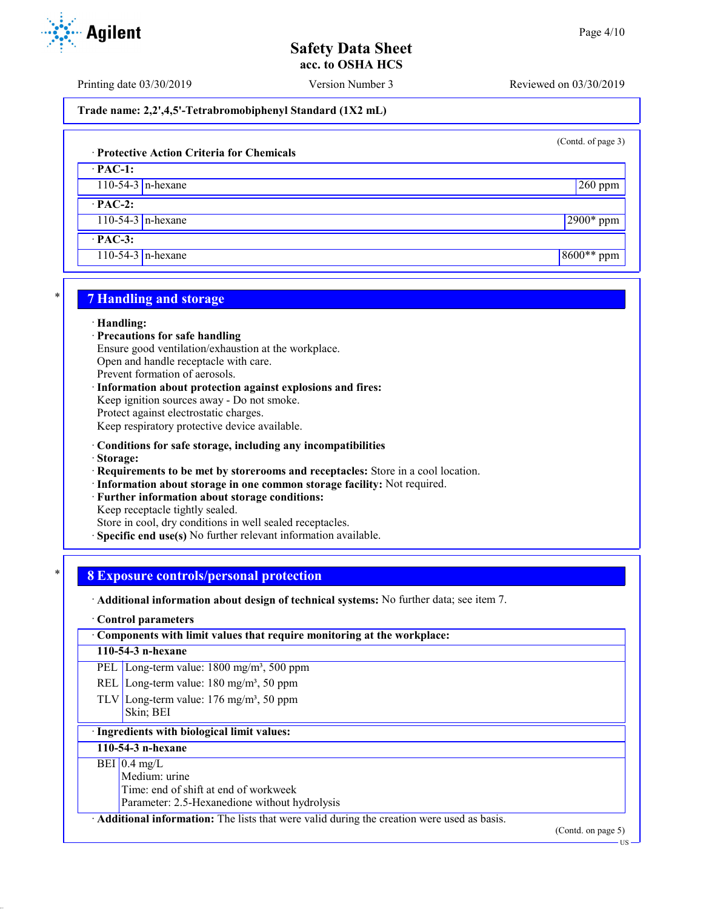Printing date 03/30/2019 Version Number 3 Reviewed on 03/30/2019

## **Trade name: 2,2',4,5'-Tetrabromobiphenyl Standard (1X2 mL)**

(Contd. of page 3)

# · **Protective Action Criteria for Chemicals**

· **PAC-1:**

110-54-3 n-hexane 260 ppm

· **PAC-2:**

110-54-3 n-hexane 2900\* ppm

· **PAC-3:**

110-54-3 n-hexane 8600<sup>\*\*</sup> ppm

# \* **7 Handling and storage**

#### · **Handling:**

- · **Precautions for safe handling**
- Ensure good ventilation/exhaustion at the workplace.

Open and handle receptacle with care.

Prevent formation of aerosols.

· **Information about protection against explosions and fires:** Keep ignition sources away - Do not smoke. Protect against electrostatic charges. Keep respiratory protective device available.

- · **Conditions for safe storage, including any incompatibilities**
- · **Storage:**
- · **Requirements to be met by storerooms and receptacles:** Store in a cool location.
- · **Information about storage in one common storage facility:** Not required.
- · **Further information about storage conditions:**

Keep receptacle tightly sealed.

Store in cool, dry conditions in well sealed receptacles.

· **Specific end use(s)** No further relevant information available.

# \* **8 Exposure controls/personal protection**

· **Additional information about design of technical systems:** No further data; see item 7.

#### · **Control parameters**

· **Components with limit values that require monitoring at the workplace:**

#### **110-54-3 n-hexane**

PEL Long-term value: 1800 mg/m<sup>3</sup>, 500 ppm

- REL Long-term value:  $180 \text{ mg/m}^3$ , 50 ppm
- TLV Long-term value:  $176 \text{ mg/m}^3$ , 50 ppm Skin; BEI

# · **Ingredients with biological limit values:**

## **110-54-3 n-hexane**

## $BEI$  0.4 mg/L

Medium: urine

Time: end of shift at end of workweek

Parameter: 2.5-Hexanedione without hydrolysis

· **Additional information:** The lists that were valid during the creation were used as basis.

(Contd. on page 5)



US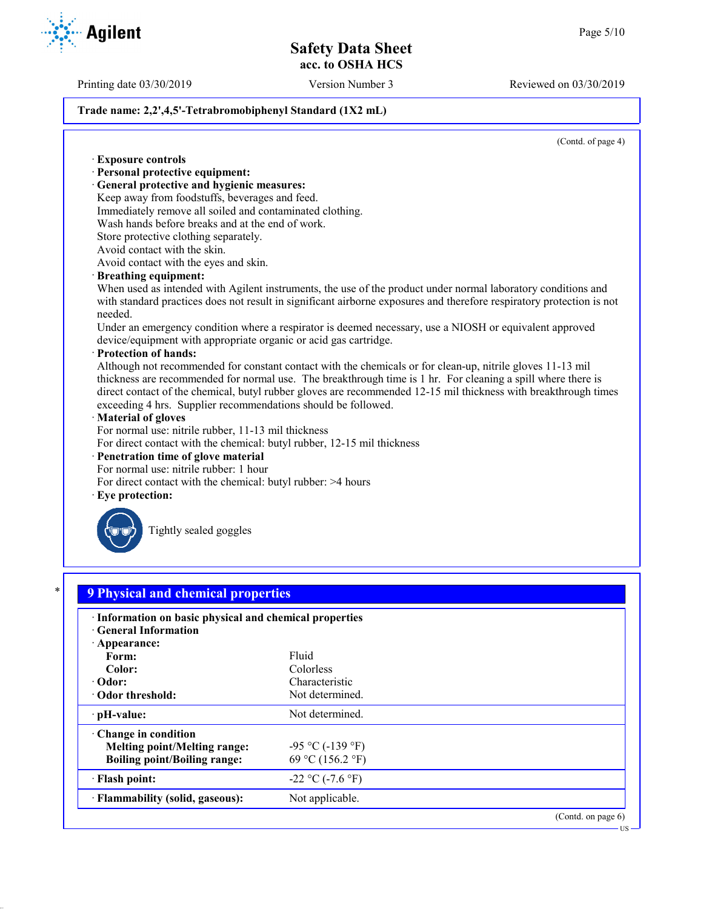Printing date 03/30/2019 Version Number 3 Reviewed on 03/30/2019

## **Trade name: 2,2',4,5'-Tetrabromobiphenyl Standard (1X2 mL)**

(Contd. of page 4)

· **Exposure controls** · **Personal protective equipment:** · **General protective and hygienic measures:** Keep away from foodstuffs, beverages and feed. Immediately remove all soiled and contaminated clothing. Wash hands before breaks and at the end of work. Store protective clothing separately. Avoid contact with the skin. Avoid contact with the eyes and skin. · **Breathing equipment:** When used as intended with Agilent instruments, the use of the product under normal laboratory conditions and with standard practices does not result in significant airborne exposures and therefore respiratory protection is not needed. Under an emergency condition where a respirator is deemed necessary, use a NIOSH or equivalent approved device/equipment with appropriate organic or acid gas cartridge. · **Protection of hands:** Although not recommended for constant contact with the chemicals or for clean-up, nitrile gloves 11-13 mil thickness are recommended for normal use. The breakthrough time is 1 hr. For cleaning a spill where there is direct contact of the chemical, butyl rubber gloves are recommended 12-15 mil thickness with breakthrough times exceeding 4 hrs. Supplier recommendations should be followed. · **Material of gloves** For normal use: nitrile rubber, 11-13 mil thickness For direct contact with the chemical: butyl rubber, 12-15 mil thickness · **Penetration time of glove material** For normal use: nitrile rubber: 1 hour For direct contact with the chemical: butyl rubber: >4 hours Eye protection: Tightly sealed goggles \* **9 Physical and chemical properties** · **Information on basic physical and chemical properties** · **General Information** · **Appearance:** Form: Fluid **Color:** Colorless · **Odor:** Characteristic Characteristic Characteristic Characteristic Characteristic Characteristic Characteristic Characteristic Characteristic Characteristic Characteristic Characteristic Characteristic Characteristic Ch **· Odor threshold:** · **pH-value:** Not determined. · **Change in condition Melting point/Melting range:**  $-95 \degree C (-139 \degree F)$ **Boiling point/Boiling range:** 69 °C (156.2 °F)  $\cdot$  **Flash point:**  $-22 \degree C (-7.6 \degree F)$ **Flammability (solid, gaseous):** Not applicable. (Contd. on page 6) US

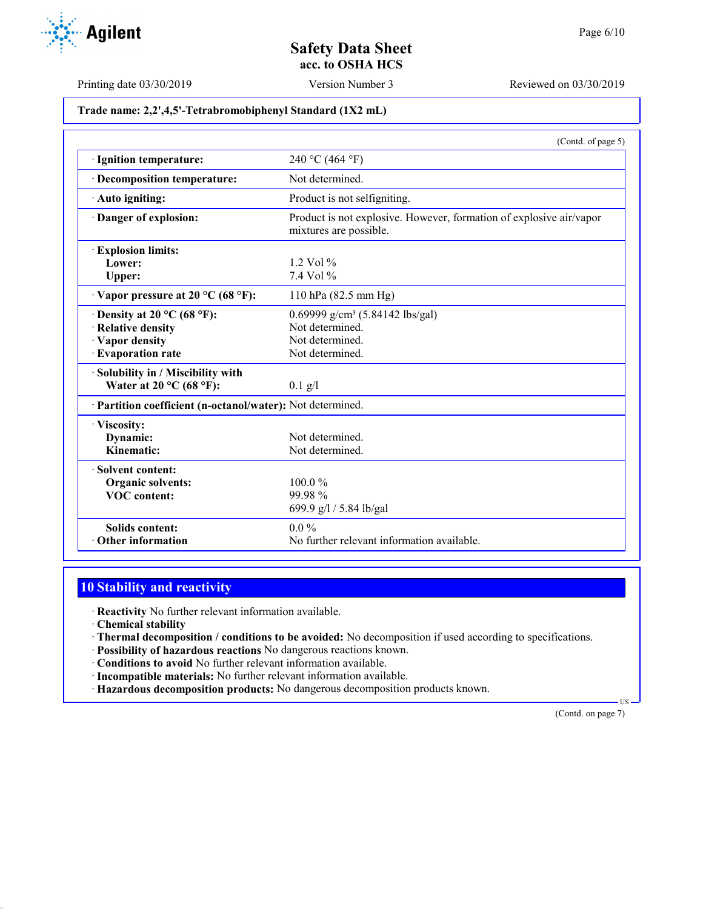

Printing date 03/30/2019 Version Number 3 Reviewed on 03/30/2019

## **Trade name: 2,2',4,5'-Tetrabromobiphenyl Standard (1X2 mL)**

|                                                            | (Contd. of page 5)                                                                            |
|------------------------------------------------------------|-----------------------------------------------------------------------------------------------|
| · Ignition temperature:                                    | 240 °C (464 °F)                                                                               |
| · Decomposition temperature:                               | Not determined.                                                                               |
| · Auto igniting:                                           | Product is not selfigniting.                                                                  |
| Danger of explosion:                                       | Product is not explosive. However, formation of explosive air/vapor<br>mixtures are possible. |
| <b>Explosion limits:</b>                                   |                                                                                               |
| Lower:                                                     | $1.2$ Vol $%$                                                                                 |
| Upper:                                                     | $7.4$ Vol $%$                                                                                 |
| $\cdot$ Vapor pressure at 20 °C (68 °F):                   | 110 hPa (82.5 mm Hg)                                                                          |
| $\cdot$ Density at 20 °C (68 °F):                          | 0.69999 $g/cm^3$ (5.84142 lbs/gal)                                                            |
| · Relative density                                         | Not determined.                                                                               |
| · Vapor density                                            | Not determined.                                                                               |
| · Evaporation rate                                         | Not determined.                                                                               |
| Solubility in / Miscibility with                           |                                                                                               |
| Water at 20 °C (68 °F):                                    | $0.1$ g/l                                                                                     |
| · Partition coefficient (n-octanol/water): Not determined. |                                                                                               |
| · Viscosity:                                               |                                                                                               |
| Dynamic:                                                   | Not determined.                                                                               |
| Kinematic:                                                 | Not determined.                                                                               |
| · Solvent content:                                         |                                                                                               |
| Organic solvents:                                          | $100.0\%$                                                                                     |
| <b>VOC</b> content:                                        | 99.98%                                                                                        |
|                                                            | 699.9 g/l / 5.84 lb/gal                                                                       |
| <b>Solids content:</b>                                     | $0.0\%$                                                                                       |
| Other information                                          | No further relevant information available.                                                    |

# **10 Stability and reactivity**

· **Reactivity** No further relevant information available.

· **Chemical stability**

· **Thermal decomposition / conditions to be avoided:** No decomposition if used according to specifications.

· **Possibility of hazardous reactions** No dangerous reactions known.

· **Conditions to avoid** No further relevant information available.

- · **Incompatible materials:** No further relevant information available.
- · **Hazardous decomposition products:** No dangerous decomposition products known.

(Contd. on page 7)

US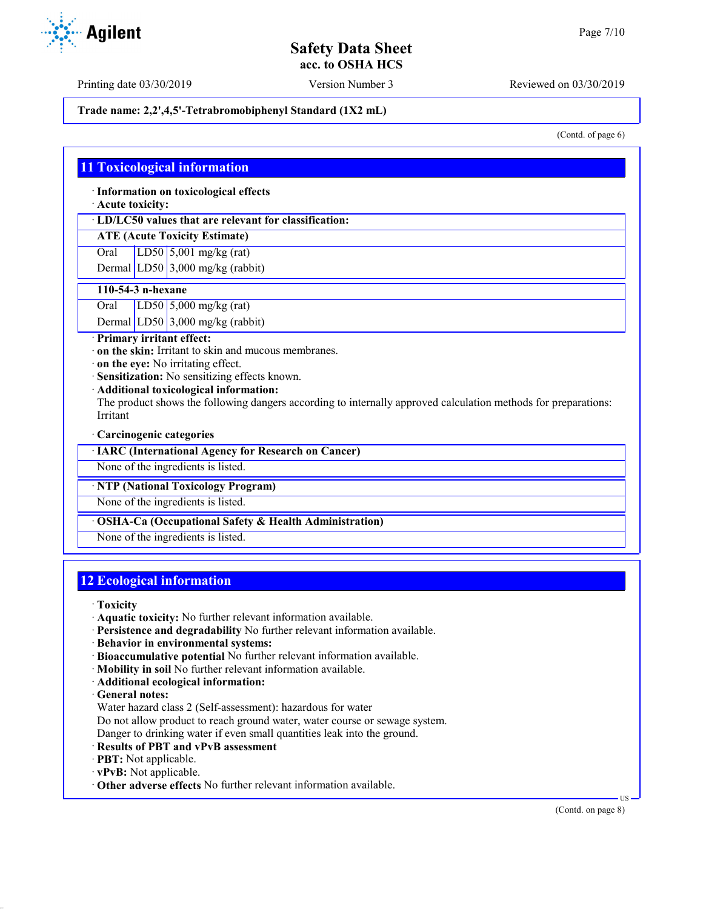Printing date 03/30/2019 Version Number 3 Reviewed on 03/30/2019

## **Trade name: 2,2',4,5'-Tetrabromobiphenyl Standard (1X2 mL)**

(Contd. of page 6)

## **11 Toxicological information**

· **Information on toxicological effects**

· **Acute toxicity:**

· **LD/LC50 values that are relevant for classification:**

## **ATE (Acute Toxicity Estimate)**

Oral LD50 5,001 mg/kg (rat)

Dermal LD50  $3,000$  mg/kg (rabbit)

#### **110-54-3 n-hexane**

Oral LD50 5,000 mg/kg (rat)

Dermal LD50 3,000 mg/kg (rabbit)

· **Primary irritant effect:**

· **on the skin:** Irritant to skin and mucous membranes.

· **on the eye:** No irritating effect.

· **Sensitization:** No sensitizing effects known.

· **Additional toxicological information:**

The product shows the following dangers according to internally approved calculation methods for preparations: Irritant

#### · **Carcinogenic categories**

· **IARC (International Agency for Research on Cancer)**

None of the ingredients is listed.

## · **NTP (National Toxicology Program)**

None of the ingredients is listed.

## · **OSHA-Ca (Occupational Safety & Health Administration)**

None of the ingredients is listed.

# **12 Ecological information**

· **Toxicity**

- · **Aquatic toxicity:** No further relevant information available.
- · **Persistence and degradability** No further relevant information available.
- · **Behavior in environmental systems:**
- · **Bioaccumulative potential** No further relevant information available.
- · **Mobility in soil** No further relevant information available.
- · **Additional ecological information:**
- · **General notes:**
- Water hazard class 2 (Self-assessment): hazardous for water

Do not allow product to reach ground water, water course or sewage system.

Danger to drinking water if even small quantities leak into the ground.

- · **Results of PBT and vPvB assessment**
- · **PBT:** Not applicable.
- · **vPvB:** Not applicable.
- · **Other adverse effects** No further relevant information available.

US

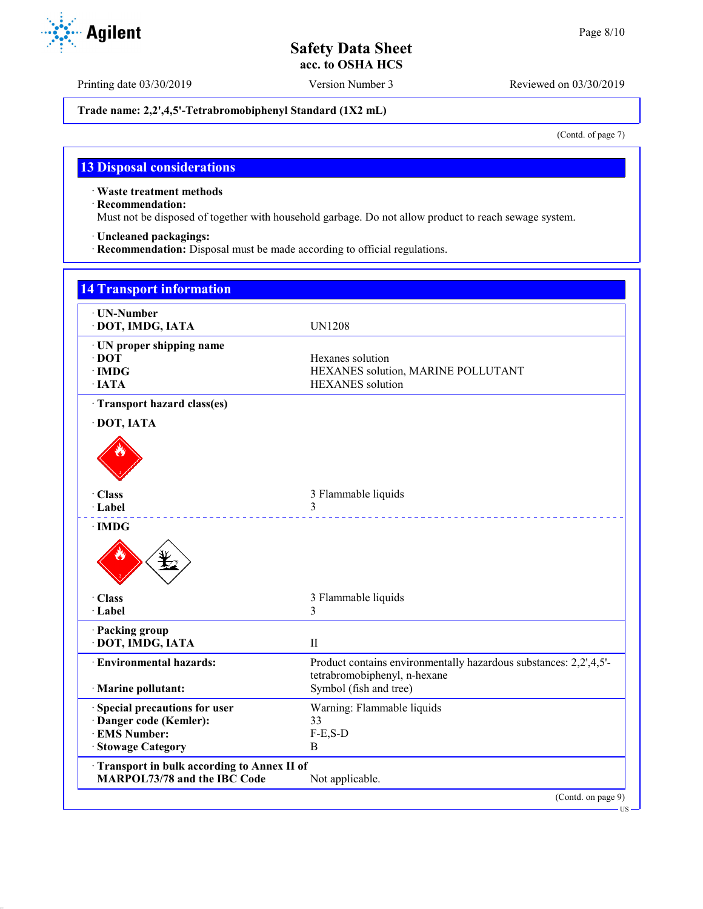Printing date 03/30/2019 Version Number 3 Reviewed on 03/30/2019

## **Trade name: 2,2',4,5'-Tetrabromobiphenyl Standard (1X2 mL)**

(Contd. of page 7)

# **13 Disposal considerations**

· **Waste treatment methods**

· **Recommendation:**

Must not be disposed of together with household garbage. Do not allow product to reach sewage system.

· **Uncleaned packagings:**

· **Recommendation:** Disposal must be made according to official regulations.

| · UN-Number                                  |                                                                   |
|----------------------------------------------|-------------------------------------------------------------------|
| · DOT, IMDG, IATA                            | <b>UN1208</b>                                                     |
| · UN proper shipping name                    |                                                                   |
| $\cdot$ DOT                                  | Hexanes solution                                                  |
| $\cdot$ IMDG                                 | HEXANES solution, MARINE POLLUTANT                                |
| $\cdot$ IATA                                 | <b>HEXANES</b> solution                                           |
| · Transport hazard class(es)                 |                                                                   |
| · DOT, IATA                                  |                                                                   |
|                                              |                                                                   |
|                                              |                                                                   |
|                                              |                                                                   |
| · Class                                      | 3 Flammable liquids                                               |
| · Label                                      | 3                                                                 |
| $\cdot$ IMDG                                 |                                                                   |
|                                              |                                                                   |
| · Class                                      | 3 Flammable liquids                                               |
| · Label                                      | 3                                                                 |
| · Packing group                              |                                                                   |
| · DOT, IMDG, IATA                            | $\rm II$                                                          |
| · Environmental hazards:                     | Product contains environmentally hazardous substances: 2,2',4,5'- |
|                                              | tetrabromobiphenyl, n-hexane                                      |
| · Marine pollutant:                          | Symbol (fish and tree)                                            |
| Special precautions for user                 | Warning: Flammable liquids                                        |
| · Danger code (Kemler):                      | 33                                                                |
| · EMS Number:                                | $F-E$ , $S-D$                                                     |
| · Stowage Category                           | B                                                                 |
| · Transport in bulk according to Annex II of |                                                                   |
| <b>MARPOL73/78 and the IBC Code</b>          | Not applicable.                                                   |

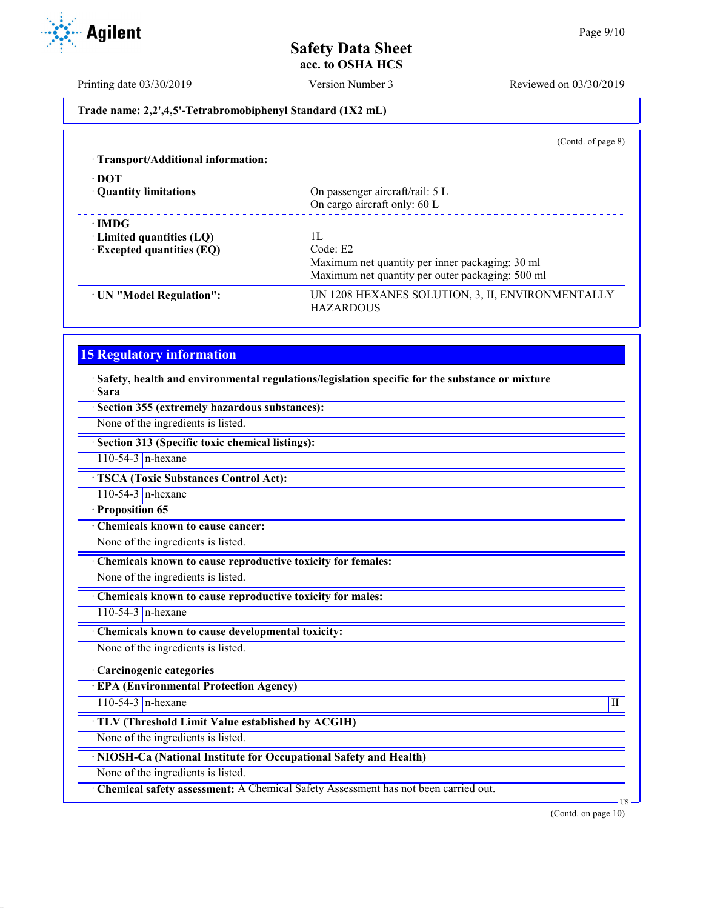Printing date 03/30/2019 Version Number 3 Reviewed on 03/30/2019

**Trade name: 2,2',4,5'-Tetrabromobiphenyl Standard (1X2 mL)**

|                                     | (Cond. of page 8)                                                    |
|-------------------------------------|----------------------------------------------------------------------|
| · Transport/Additional information: |                                                                      |
| $\cdot$ DOT                         |                                                                      |
| • Quantity limitations              | On passenger aircraft/rail: 5 L                                      |
|                                     | On cargo aircraft only: 60 L                                         |
| $\cdot$ IMDG                        |                                                                      |
| $\cdot$ Limited quantities (LQ)     | 1L                                                                   |
| $\cdot$ Excepted quantities (EQ)    | Code: E2                                                             |
|                                     | Maximum net quantity per inner packaging: 30 ml                      |
|                                     | Maximum net quantity per outer packaging: 500 ml                     |
| · UN "Model Regulation":            | UN 1208 HEXANES SOLUTION, 3, II, ENVIRONMENTALLY<br><b>HAZARDOUS</b> |

# **15 Regulatory information**

· **Safety, health and environmental regulations/legislation specific for the substance or mixture** · **Sara**

| · Section 355 (extremely hazardous substances):                                    |  |  |
|------------------------------------------------------------------------------------|--|--|
| None of the ingredients is listed.                                                 |  |  |
| · Section 313 (Specific toxic chemical listings):                                  |  |  |
| $110-54-3$ n-hexane                                                                |  |  |
| <b>TSCA (Toxic Substances Control Act):</b>                                        |  |  |
| $110-54-3$ n-hexane                                                                |  |  |
| Proposition 65                                                                     |  |  |
| <b>Chemicals known to cause cancer:</b>                                            |  |  |
| None of the ingredients is listed.                                                 |  |  |
| Chemicals known to cause reproductive toxicity for females:                        |  |  |
| None of the ingredients is listed.                                                 |  |  |
| Chemicals known to cause reproductive toxicity for males:                          |  |  |
| $110-54-3$ n-hexane                                                                |  |  |
| Chemicals known to cause developmental toxicity:                                   |  |  |
| None of the ingredients is listed.                                                 |  |  |
| · Carcinogenic categories                                                          |  |  |
| <b>EPA (Environmental Protection Agency)</b>                                       |  |  |
| $110-54-3$ n-hexane<br>$\mathbf{I}$                                                |  |  |
| TLV (Threshold Limit Value established by ACGIH)                                   |  |  |
| None of the ingredients is listed.                                                 |  |  |
| · NIOSH-Ca (National Institute for Occupational Safety and Health)                 |  |  |
| None of the ingredients is listed.                                                 |  |  |
| Chemical safety assessment: A Chemical Safety Assessment has not been carried out. |  |  |
| $US -$                                                                             |  |  |

(Contd. on page 10)